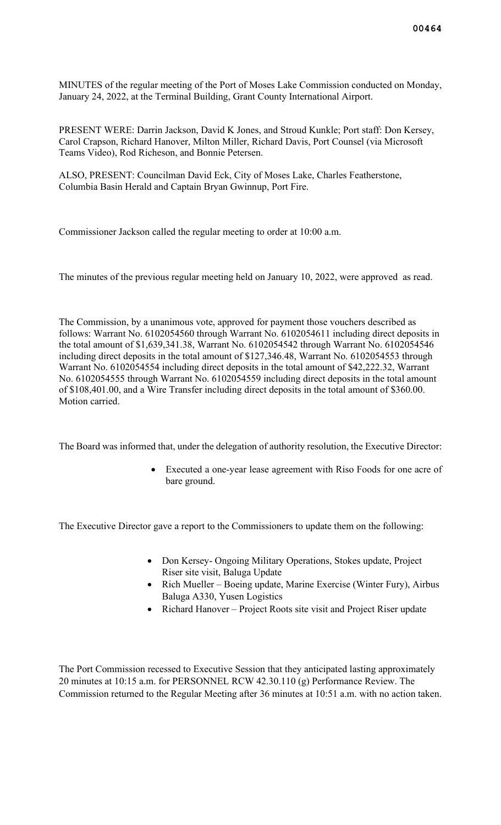MINUTES of the regular meeting of the Port of Moses Lake Commission conducted on Monday, January 24, 2022, at the Terminal Building, Grant County International Airport.

PRESENT WERE: Darrin Jackson, David K Jones, and Stroud Kunkle; Port staff: Don Kersey, Carol Crapson, Richard Hanover, Milton Miller, Richard Davis, Port Counsel (via Microsoft Teams Video), Rod Richeson, and Bonnie Petersen.

ALSO, PRESENT: Councilman David Eck, City of Moses Lake, Charles Featherstone, Columbia Basin Herald and Captain Bryan Gwinnup, Port Fire.

Commissioner Jackson called the regular meeting to order at 10:00 a.m.

The minutes of the previous regular meeting held on January 10, 2022, were approved as read.

The Commission, by a unanimous vote, approved for payment those vouchers described as follows: Warrant No. 6102054560 through Warrant No. 6102054611 including direct deposits in the total amount of \$1,639,341.38, Warrant No. 6102054542 through Warrant No. 6102054546 including direct deposits in the total amount of \$127,346.48, Warrant No. 6102054553 through Warrant No. 6102054554 including direct deposits in the total amount of \$42,222.32, Warrant No. 6102054555 through Warrant No. 6102054559 including direct deposits in the total amount of \$108,401.00, and a Wire Transfer including direct deposits in the total amount of \$360.00. Motion carried.

The Board was informed that, under the delegation of authority resolution, the Executive Director:

Executed a one-year lease agreement with Riso Foods for one acre of bare ground.

The Executive Director gave a report to the Commissioners to update them on the following:

- Don Kersey- Ongoing Military Operations, Stokes update, Project Riser site visit, Baluga Update
- Rich Mueller Boeing update, Marine Exercise (Winter Fury), Airbus Baluga A330, Yusen Logistics
- Richard Hanover Project Roots site visit and Project Riser update

The Port Commission recessed to Executive Session that they anticipated lasting approximately 20 minutes at 10:15 a.m. for PERSONNEL RCW 42.30.110 (g) Performance Review. The Commission returned to the Regular Meeting after 36 minutes at 10:51 a.m. with no action taken.